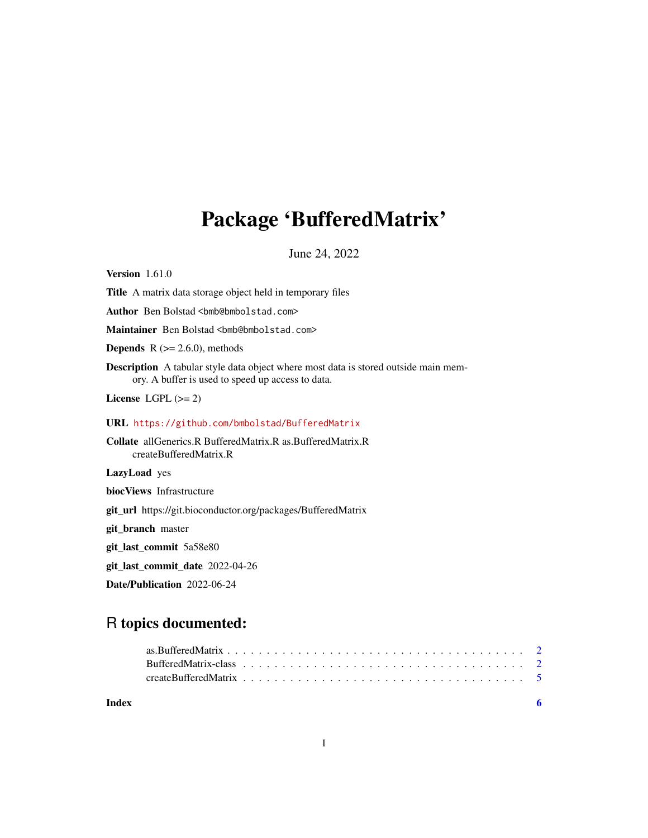# <span id="page-0-0"></span>Package 'BufferedMatrix'

June 24, 2022

Version 1.61.0 Title A matrix data storage object held in temporary files Author Ben Bolstad <br/> <br/>bmb@bmbolstad.com> Maintainer Ben Bolstad <br/>bmb@bmbolstad.com> **Depends**  $R$  ( $>= 2.6.0$ ), methods Description A tabular style data object where most data is stored outside main memory. A buffer is used to speed up access to data. License LGPL  $(>= 2)$ URL <https://github.com/bmbolstad/BufferedMatrix> Collate allGenerics.R BufferedMatrix.R as.BufferedMatrix.R createBufferedMatrix.R LazyLoad yes biocViews Infrastructure git\_url https://git.bioconductor.org/packages/BufferedMatrix git\_branch master git\_last\_commit 5a58e80 git\_last\_commit\_date 2022-04-26 Date/Publication 2022-06-24

# R topics documented:

**Index** [6](#page-5-0) **6**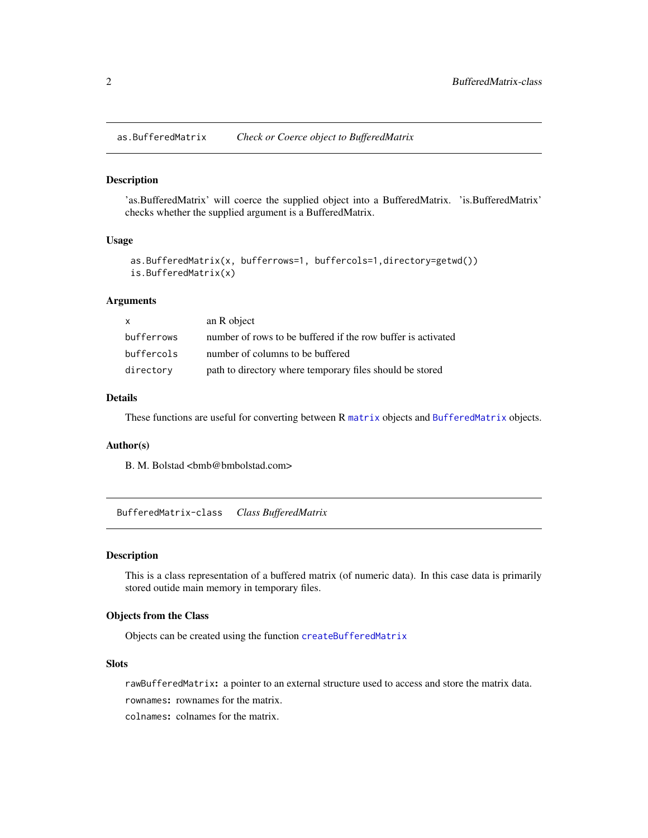<span id="page-1-0"></span>as.BufferedMatrix *Check or Coerce object to BufferedMatrix*

# Description

'as.BufferedMatrix' will coerce the supplied object into a BufferedMatrix. 'is.BufferedMatrix' checks whether the supplied argument is a BufferedMatrix.

#### Usage

```
as.BufferedMatrix(x, bufferrows=1, buffercols=1,directory=getwd())
is.BufferedMatrix(x)
```
#### Arguments

| X          | an R object                                                  |
|------------|--------------------------------------------------------------|
| bufferrows | number of rows to be buffered if the row buffer is activated |
| buffercols | number of columns to be buffered                             |
| directory  | path to directory where temporary files should be stored     |

### Details

These functions are useful for converting between R [matrix](#page-0-0) objects and [BufferedMatrix](#page-0-0) objects.

#### Author(s)

B. M. Bolstad <bmb@bmbolstad.com>

BufferedMatrix-class *Class BufferedMatrix*

#### Description

This is a class representation of a buffered matrix (of numeric data). In this case data is primarily stored outide main memory in temporary files.

# Objects from the Class

Objects can be created using the function [createBufferedMatrix](#page-4-1)

# Slots

rawBufferedMatrix: a pointer to an external structure used to access and store the matrix data.

rownames: rownames for the matrix.

colnames: colnames for the matrix.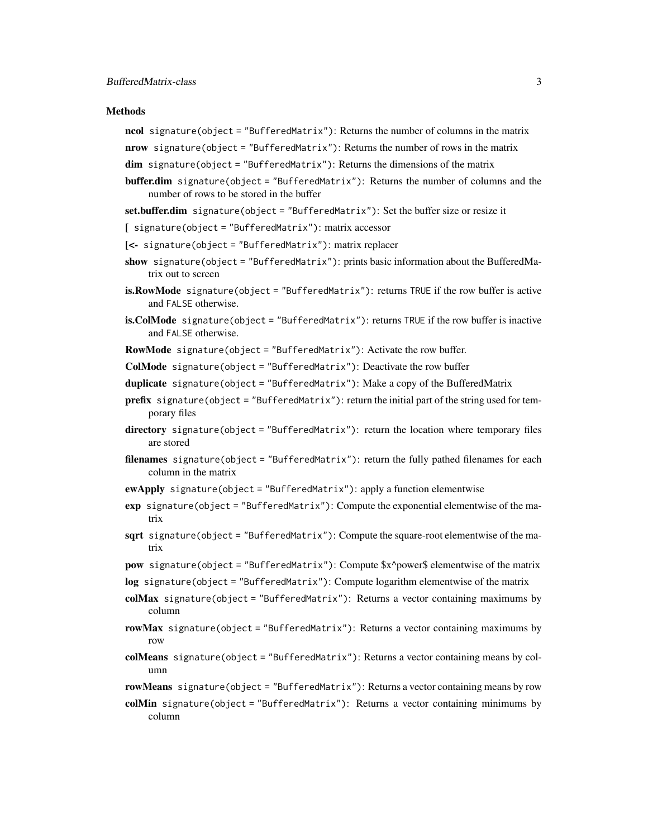#### **Methods**

- ncol signature(object = "BufferedMatrix"): Returns the number of columns in the matrix
- nrow signature(object = "BufferedMatrix"): Returns the number of rows in the matrix
- $dim$  signature(object = "BufferedMatrix"): Returns the dimensions of the matrix
- buffer.dim signature(object = "BufferedMatrix"): Returns the number of columns and the number of rows to be stored in the buffer
- set.buffer.dim signature(object = "BufferedMatrix"): Set the buffer size or resize it
- [ signature(object = "BufferedMatrix"): matrix accessor
- [<- signature(object = "BufferedMatrix"): matrix replacer
- show signature(object = "BufferedMatrix"): prints basic information about the BufferedMatrix out to screen
- is.RowMode signature(object = "BufferedMatrix"): returns TRUE if the row buffer is active and FALSE otherwise.
- is.ColMode signature(object = "BufferedMatrix"): returns TRUE if the row buffer is inactive and FALSE otherwise.
- RowMode signature(object = "BufferedMatrix"): Activate the row buffer.
- ColMode signature(object = "BufferedMatrix"): Deactivate the row buffer
- duplicate signature(object = "BufferedMatrix"): Make a copy of the BufferedMatrix
- prefix signature(object = "BufferedMatrix"): return the initial part of the string used for temporary files
- directory signature(object = "BufferedMatrix"): return the location where temporary files are stored
- filenames signature(object = "BufferedMatrix"): return the fully pathed filenames for each column in the matrix
- ewApply signature(object = "BufferedMatrix"): apply a function elementwise
- exp signature(object = "BufferedMatrix"): Compute the exponential elementwise of the matrix
- sqrt signature(object = "BufferedMatrix"): Compute the square-root elementwise of the matrix
- pow signature(object = "BufferedMatrix"): Compute \$x^power\$ elementwise of the matrix
- log signature(object = "BufferedMatrix"): Compute logarithm elementwise of the matrix
- colMax signature(object = "BufferedMatrix"): Returns a vector containing maximums by column
- rowMax signature(object = "BufferedMatrix"): Returns a vector containing maximums by row
- colMeans signature(object = "BufferedMatrix"): Returns a vector containing means by column
- rowMeans signature(object = "BufferedMatrix"): Returns a vector containing means by row
- colMin signature(object = "BufferedMatrix"): Returns a vector containing minimums by column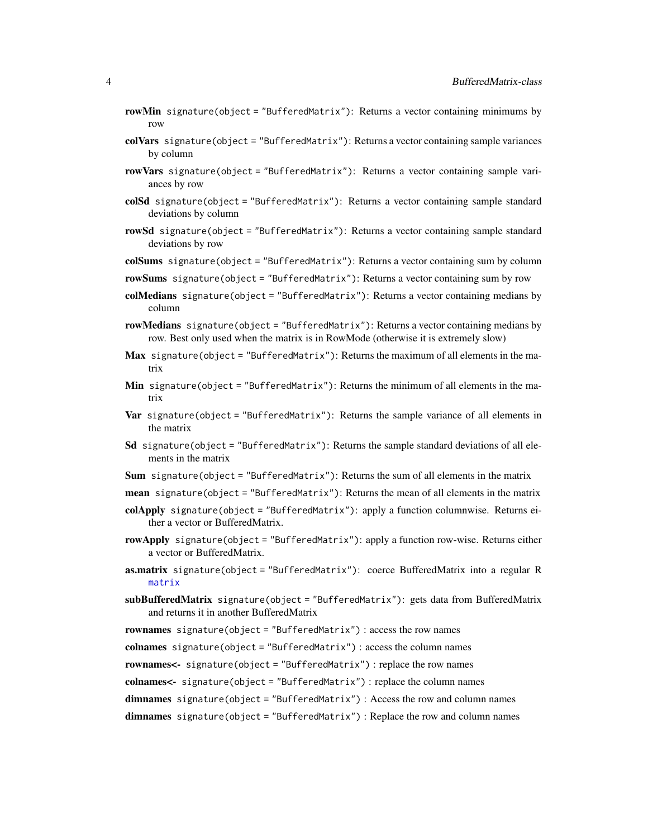- <span id="page-3-0"></span>rowMin signature(object = "BufferedMatrix"): Returns a vector containing minimums by row
- colVars signature(object = "BufferedMatrix"): Returns a vector containing sample variances by column
- rowVars signature(object = "BufferedMatrix"): Returns a vector containing sample variances by row
- colSd signature(object = "BufferedMatrix"): Returns a vector containing sample standard deviations by column
- rowSd signature(object = "BufferedMatrix"): Returns a vector containing sample standard deviations by row
- colSums signature(object = "BufferedMatrix"): Returns a vector containing sum by column
- rowSums signature(object = "BufferedMatrix"): Returns a vector containing sum by row
- colMedians signature(object = "BufferedMatrix"): Returns a vector containing medians by column
- rowMedians signature(object = "BufferedMatrix"): Returns a vector containing medians by row. Best only used when the matrix is in RowMode (otherwise it is extremely slow)
- Max signature(object = "BufferedMatrix"): Returns the maximum of all elements in the matrix
- Min signature(object = "BufferedMatrix"): Returns the minimum of all elements in the matrix
- **Var** signature(object = "BufferedMatrix"): Returns the sample variance of all elements in the matrix
- **Sd** signature(object = "BufferedMatrix"): Returns the sample standard deviations of all elements in the matrix
- Sum signature(object = "BufferedMatrix"): Returns the sum of all elements in the matrix
- mean signature(object = "BufferedMatrix"): Returns the mean of all elements in the matrix
- colApply signature(object = "BufferedMatrix"): apply a function columnwise. Returns either a vector or BufferedMatrix.
- rowApply signature(object = "BufferedMatrix"): apply a function row-wise. Returns either a vector or BufferedMatrix.
- as.matrix signature(object = "BufferedMatrix"): coerce BufferedMatrix into a regular R [matrix](#page-0-0)
- subBufferedMatrix signature(object = "BufferedMatrix"): gets data from BufferedMatrix and returns it in another BufferedMatrix
- rownames signature(object = "BufferedMatrix") : access the row names

colnames signature(object = "BufferedMatrix") : access the column names

rownames<- signature(object = "BufferedMatrix") : replace the row names

colnames<- signature(object = "BufferedMatrix") : replace the column names

dimnames signature(object = "BufferedMatrix") : Access the row and column names

dimnames signature(object = "BufferedMatrix") : Replace the row and column names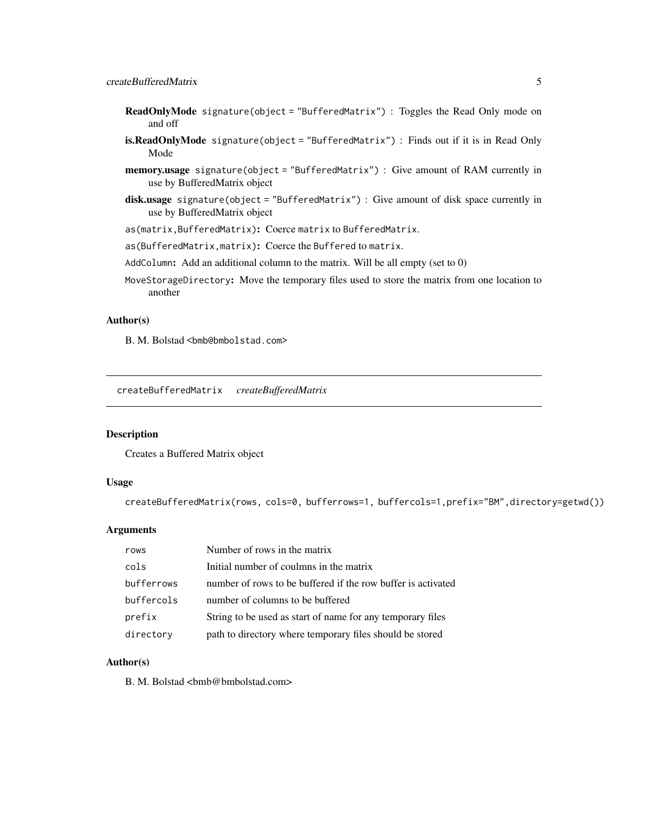# <span id="page-4-0"></span>createBufferedMatrix 5

- ReadOnlyMode signature(object = "BufferedMatrix") : Toggles the Read Only mode on and off
- is.ReadOnlyMode signature(object = "BufferedMatrix") : Finds out if it is in Read Only Mode
- memory.usage signature(object = "BufferedMatrix") : Give amount of RAM currently in use by BufferedMatrix object
- disk.usage signature(object = "BufferedMatrix") : Give amount of disk space currently in use by BufferedMatrix object

as(matrix,BufferedMatrix): Coerce matrix to BufferedMatrix.

as(BufferedMatrix,matrix): Coerce the Buffered to matrix.

AddColumn: Add an additional column to the matrix. Will be all empty (set to 0)

MoveStorageDirectory: Move the temporary files used to store the matrix from one location to another

### Author(s)

B. M. Bolstad <br/>bmb@bmbolstad.com>

<span id="page-4-1"></span>createBufferedMatrix *createBufferedMatrix*

#### Description

Creates a Buffered Matrix object

#### Usage

createBufferedMatrix(rows, cols=0, bufferrows=1, buffercols=1,prefix="BM",directory=getwd())

#### Arguments

| rows       | Number of rows in the matrix                                 |
|------------|--------------------------------------------------------------|
| cols       | Initial number of coulmns in the matrix                      |
| bufferrows | number of rows to be buffered if the row buffer is activated |
| buffercols | number of columns to be buffered                             |
| prefix     | String to be used as start of name for any temporary files   |
| directory  | path to directory where temporary files should be stored     |

# Author(s)

B. M. Bolstad <bmb@bmbolstad.com>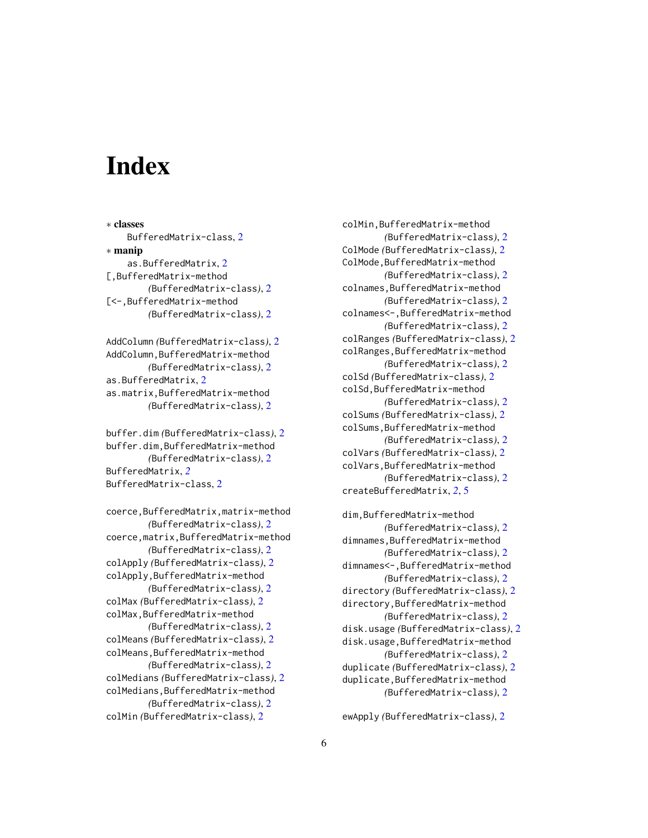# <span id="page-5-0"></span>Index

∗ classes BufferedMatrix-class, [2](#page-1-0) ∗ manip as.BufferedMatrix, [2](#page-1-0) [,BufferedMatrix-method *(*BufferedMatrix-class*)*, [2](#page-1-0) [<-,BufferedMatrix-method *(*BufferedMatrix-class*)*, [2](#page-1-0)

AddColumn *(*BufferedMatrix-class*)*, [2](#page-1-0) AddColumn,BufferedMatrix-method *(*BufferedMatrix-class*)*, [2](#page-1-0) as.BufferedMatrix, [2](#page-1-0) as.matrix,BufferedMatrix-method *(*BufferedMatrix-class*)*, [2](#page-1-0)

buffer.dim *(*BufferedMatrix-class*)*, [2](#page-1-0) buffer.dim,BufferedMatrix-method *(*BufferedMatrix-class*)*, [2](#page-1-0) BufferedMatrix, *[2](#page-1-0)* BufferedMatrix-class, [2](#page-1-0)

coerce,BufferedMatrix,matrix-method *(*BufferedMatrix-class*)*, [2](#page-1-0) coerce,matrix,BufferedMatrix-method *(*BufferedMatrix-class*)*, [2](#page-1-0) colApply *(*BufferedMatrix-class*)*, [2](#page-1-0) colApply,BufferedMatrix-method *(*BufferedMatrix-class*)*, [2](#page-1-0) colMax *(*BufferedMatrix-class*)*, [2](#page-1-0) colMax,BufferedMatrix-method *(*BufferedMatrix-class*)*, [2](#page-1-0) colMeans *(*BufferedMatrix-class*)*, [2](#page-1-0) colMeans,BufferedMatrix-method *(*BufferedMatrix-class*)*, [2](#page-1-0) colMedians *(*BufferedMatrix-class*)*, [2](#page-1-0) colMedians,BufferedMatrix-method *(*BufferedMatrix-class*)*, [2](#page-1-0)

colMin *(*BufferedMatrix-class*)*, [2](#page-1-0)

colMin,BufferedMatrix-method *(*BufferedMatrix-class*)*, [2](#page-1-0) ColMode *(*BufferedMatrix-class*)*, [2](#page-1-0) ColMode,BufferedMatrix-method *(*BufferedMatrix-class*)*, [2](#page-1-0) colnames,BufferedMatrix-method *(*BufferedMatrix-class*)*, [2](#page-1-0) colnames<-,BufferedMatrix-method *(*BufferedMatrix-class*)*, [2](#page-1-0) colRanges *(*BufferedMatrix-class*)*, [2](#page-1-0) colRanges,BufferedMatrix-method *(*BufferedMatrix-class*)*, [2](#page-1-0) colSd *(*BufferedMatrix-class*)*, [2](#page-1-0) colSd,BufferedMatrix-method *(*BufferedMatrix-class*)*, [2](#page-1-0) colSums *(*BufferedMatrix-class*)*, [2](#page-1-0) colSums,BufferedMatrix-method *(*BufferedMatrix-class*)*, [2](#page-1-0) colVars *(*BufferedMatrix-class*)*, [2](#page-1-0) colVars,BufferedMatrix-method *(*BufferedMatrix-class*)*, [2](#page-1-0) createBufferedMatrix, *[2](#page-1-0)*, [5](#page-4-0) dim,BufferedMatrix-method *(*BufferedMatrix-class*)*, [2](#page-1-0) dimnames,BufferedMatrix-method *(*BufferedMatrix-class*)*, [2](#page-1-0) dimnames<-,BufferedMatrix-method *(*BufferedMatrix-class*)*, [2](#page-1-0) directory *(*BufferedMatrix-class*)*, [2](#page-1-0) directory,BufferedMatrix-method *(*BufferedMatrix-class*)*, [2](#page-1-0) disk.usage *(*BufferedMatrix-class*)*, [2](#page-1-0) disk.usage,BufferedMatrix-method *(*BufferedMatrix-class*)*, [2](#page-1-0) duplicate *(*BufferedMatrix-class*)*, [2](#page-1-0) duplicate,BufferedMatrix-method

*(*BufferedMatrix-class*)*, [2](#page-1-0)

ewApply *(*BufferedMatrix-class*)*, [2](#page-1-0)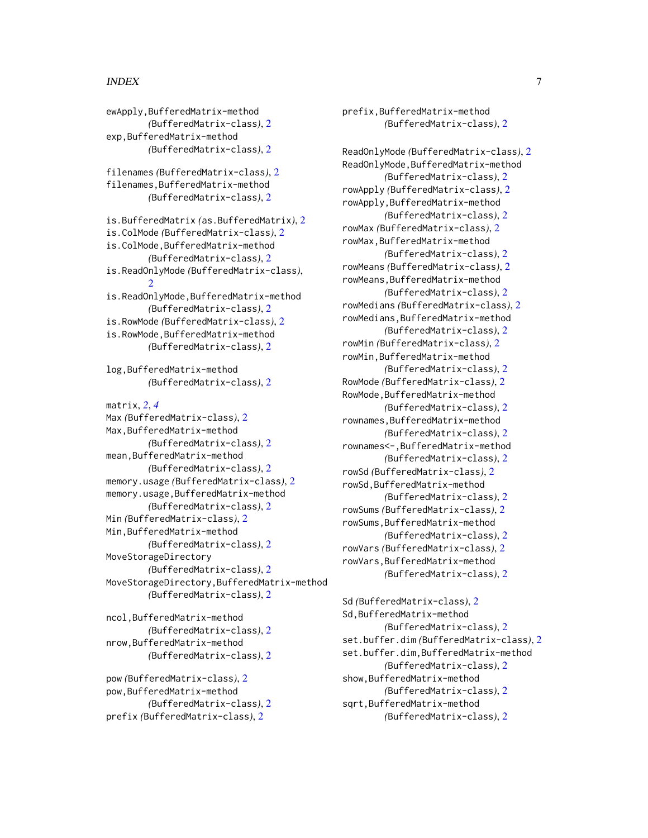#### INDEX 7

ewApply,BufferedMatrix-method

exp,BufferedMatrix-method

*(*BufferedMatrix-class*)*, [2](#page-1-0)

*(*BufferedMatrix-class*)*, [2](#page-1-0)

prefix,BufferedMatrix-method *(*BufferedMatrix-class*)*, [2](#page-1-0) ReadOnlyMode *(*BufferedMatrix-class*)*, [2](#page-1-0) ReadOnlyMode,BufferedMatrix-method *(*BufferedMatrix-class*)*, [2](#page-1-0) rowApply *(*BufferedMatrix-class*)*, [2](#page-1-0) rowApply,BufferedMatrix-method *(*BufferedMatrix-class*)*, [2](#page-1-0) rowMax *(*BufferedMatrix-class*)*, [2](#page-1-0) rowMax,BufferedMatrix-method *(*BufferedMatrix-class*)*, [2](#page-1-0) rowMeans *(*BufferedMatrix-class*)*, [2](#page-1-0) rowMeans,BufferedMatrix-method *(*BufferedMatrix-class*)*, [2](#page-1-0) rowMedians *(*BufferedMatrix-class*)*, [2](#page-1-0) rowMedians,BufferedMatrix-method *(*BufferedMatrix-class*)*, [2](#page-1-0) rowMin *(*BufferedMatrix-class*)*, [2](#page-1-0) rowMin,BufferedMatrix-method *(*BufferedMatrix-class*)*, [2](#page-1-0) RowMode *(*BufferedMatrix-class*)*, [2](#page-1-0) RowMode,BufferedMatrix-method *(*BufferedMatrix-class*)*, [2](#page-1-0) rownames,BufferedMatrix-method *(*BufferedMatrix-class*)*, [2](#page-1-0) rownames<-,BufferedMatrix-method *(*BufferedMatrix-class*)*, [2](#page-1-0) rowSd *(*BufferedMatrix-class*)*, [2](#page-1-0) rowSd,BufferedMatrix-method *(*BufferedMatrix-class*)*, [2](#page-1-0) rowSums *(*BufferedMatrix-class*)*, [2](#page-1-0) rowSums,BufferedMatrix-method *(*BufferedMatrix-class*)*, [2](#page-1-0) rowVars *(*BufferedMatrix-class*)*, [2](#page-1-0) rowVars,BufferedMatrix-method *(*BufferedMatrix-class*)*, [2](#page-1-0) Sd *(*BufferedMatrix-class*)*, [2](#page-1-0) Sd,BufferedMatrix-method *(*BufferedMatrix-class*)*, [2](#page-1-0)

set.buffer.dim *(*BufferedMatrix-class*)*, [2](#page-1-0) set.buffer.dim,BufferedMatrix-method *(*BufferedMatrix-class*)*, [2](#page-1-0) show,BufferedMatrix-method *(*BufferedMatrix-class*)*, [2](#page-1-0) sqrt,BufferedMatrix-method

*(*BufferedMatrix-class*)*, [2](#page-1-0)

filenames *(*BufferedMatrix-class*)*, [2](#page-1-0) filenames,BufferedMatrix-method *(*BufferedMatrix-class*)*, [2](#page-1-0) is.BufferedMatrix *(*as.BufferedMatrix*)*, [2](#page-1-0) is.ColMode *(*BufferedMatrix-class*)*, [2](#page-1-0) is.ColMode,BufferedMatrix-method *(*BufferedMatrix-class*)*, [2](#page-1-0) is.ReadOnlyMode *(*BufferedMatrix-class*)*, [2](#page-1-0) is.ReadOnlyMode,BufferedMatrix-method *(*BufferedMatrix-class*)*, [2](#page-1-0) is.RowMode *(*BufferedMatrix-class*)*, [2](#page-1-0) is.RowMode,BufferedMatrix-method *(*BufferedMatrix-class*)*, [2](#page-1-0) log,BufferedMatrix-method *(*BufferedMatrix-class*)*, [2](#page-1-0) matrix, *[2](#page-1-0)*, *[4](#page-3-0)* Max *(*BufferedMatrix-class*)*, [2](#page-1-0) Max,BufferedMatrix-method

*(*BufferedMatrix-class*)*, [2](#page-1-0) mean,BufferedMatrix-method *(*BufferedMatrix-class*)*, [2](#page-1-0) memory.usage *(*BufferedMatrix-class*)*, [2](#page-1-0) memory.usage,BufferedMatrix-method *(*BufferedMatrix-class*)*, [2](#page-1-0) Min *(*BufferedMatrix-class*)*, [2](#page-1-0) Min,BufferedMatrix-method *(*BufferedMatrix-class*)*, [2](#page-1-0) MoveStorageDirectory *(*BufferedMatrix-class*)*, [2](#page-1-0) MoveStorageDirectory,BufferedMatrix-method *(*BufferedMatrix-class*)*, [2](#page-1-0)

ncol,BufferedMatrix-method *(*BufferedMatrix-class*)*, [2](#page-1-0) nrow,BufferedMatrix-method *(*BufferedMatrix-class*)*, [2](#page-1-0)

pow *(*BufferedMatrix-class*)*, [2](#page-1-0) pow,BufferedMatrix-method *(*BufferedMatrix-class*)*, [2](#page-1-0) prefix *(*BufferedMatrix-class*)*, [2](#page-1-0)